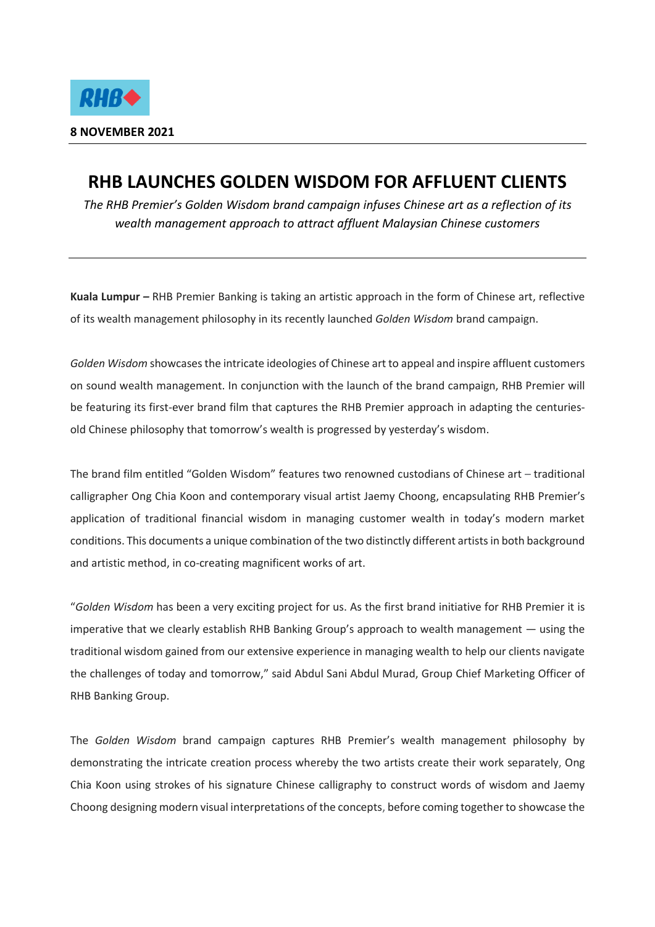

## **RHB LAUNCHES GOLDEN WISDOM FOR AFFLUENT CLIENTS**

*The RHB Premier's Golden Wisdom brand campaign infuses Chinese art as a reflection of its wealth management approach to attract affluent Malaysian Chinese customers*

**Kuala Lumpur** *–* RHB Premier Banking is taking an artistic approach in the form of Chinese art, reflective of its wealth management philosophy in its recently launched *Golden Wisdom* brand campaign.

*Golden Wisdom* showcases the intricate ideologies of Chinese art to appeal and inspire affluent customers on sound wealth management. In conjunction with the launch of the brand campaign, RHB Premier will be featuring its first-ever brand film that captures the RHB Premier approach in adapting the centuriesold Chinese philosophy that tomorrow's wealth is progressed by yesterday's wisdom.

The brand film entitled "Golden Wisdom" features two renowned custodians of Chinese art – traditional calligrapher Ong Chia Koon and contemporary visual artist Jaemy Choong, encapsulating RHB Premier's application of traditional financial wisdom in managing customer wealth in today's modern market conditions. This documents a unique combination of the two distinctly different artists in both background and artistic method, in co-creating magnificent works of art.

"*Golden Wisdom* has been a very exciting project for us. As the first brand initiative for RHB Premier it is imperative that we clearly establish RHB Banking Group's approach to wealth management — using the traditional wisdom gained from our extensive experience in managing wealth to help our clients navigate the challenges of today and tomorrow," said Abdul Sani Abdul Murad, Group Chief Marketing Officer of RHB Banking Group.

The *Golden Wisdom* brand campaign captures RHB Premier's wealth management philosophy by demonstrating the intricate creation process whereby the two artists create their work separately, Ong Chia Koon using strokes of his signature Chinese calligraphy to construct words of wisdom and Jaemy Choong designing modern visual interpretations of the concepts, before coming together to showcase the